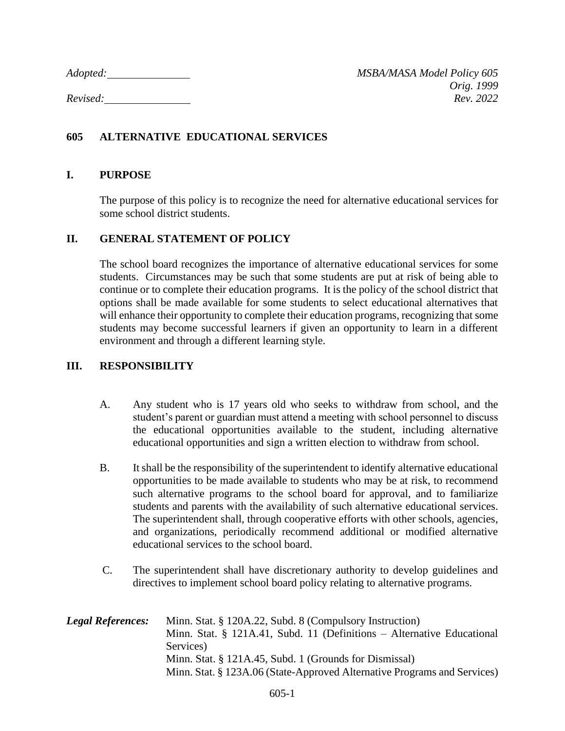## **605 ALTERNATIVE EDUCATIONAL SERVICES**

## **I. PURPOSE**

The purpose of this policy is to recognize the need for alternative educational services for some school district students.

## **II. GENERAL STATEMENT OF POLICY**

The school board recognizes the importance of alternative educational services for some students. Circumstances may be such that some students are put at risk of being able to continue or to complete their education programs. It is the policy of the school district that options shall be made available for some students to select educational alternatives that will enhance their opportunity to complete their education programs, recognizing that some students may become successful learners if given an opportunity to learn in a different environment and through a different learning style.

## **III. RESPONSIBILITY**

- A. Any student who is 17 years old who seeks to withdraw from school, and the student's parent or guardian must attend a meeting with school personnel to discuss the educational opportunities available to the student, including alternative educational opportunities and sign a written election to withdraw from school.
- B. It shall be the responsibility of the superintendent to identify alternative educational opportunities to be made available to students who may be at risk, to recommend such alternative programs to the school board for approval, and to familiarize students and parents with the availability of such alternative educational services. The superintendent shall, through cooperative efforts with other schools, agencies, and organizations, periodically recommend additional or modified alternative educational services to the school board.
- C. The superintendent shall have discretionary authority to develop guidelines and directives to implement school board policy relating to alternative programs.

| <b>Legal References:</b> | Minn. Stat. § 120A.22, Subd. 8 (Compulsory Instruction)                  |
|--------------------------|--------------------------------------------------------------------------|
|                          | Minn. Stat. § 121A.41, Subd. 11 (Definitions $-$ Alternative Educational |
|                          | Services)                                                                |
|                          | Minn. Stat. § 121A.45, Subd. 1 (Grounds for Dismissal)                   |
|                          | Minn. Stat. § 123A.06 (State-Approved Alternative Programs and Services) |